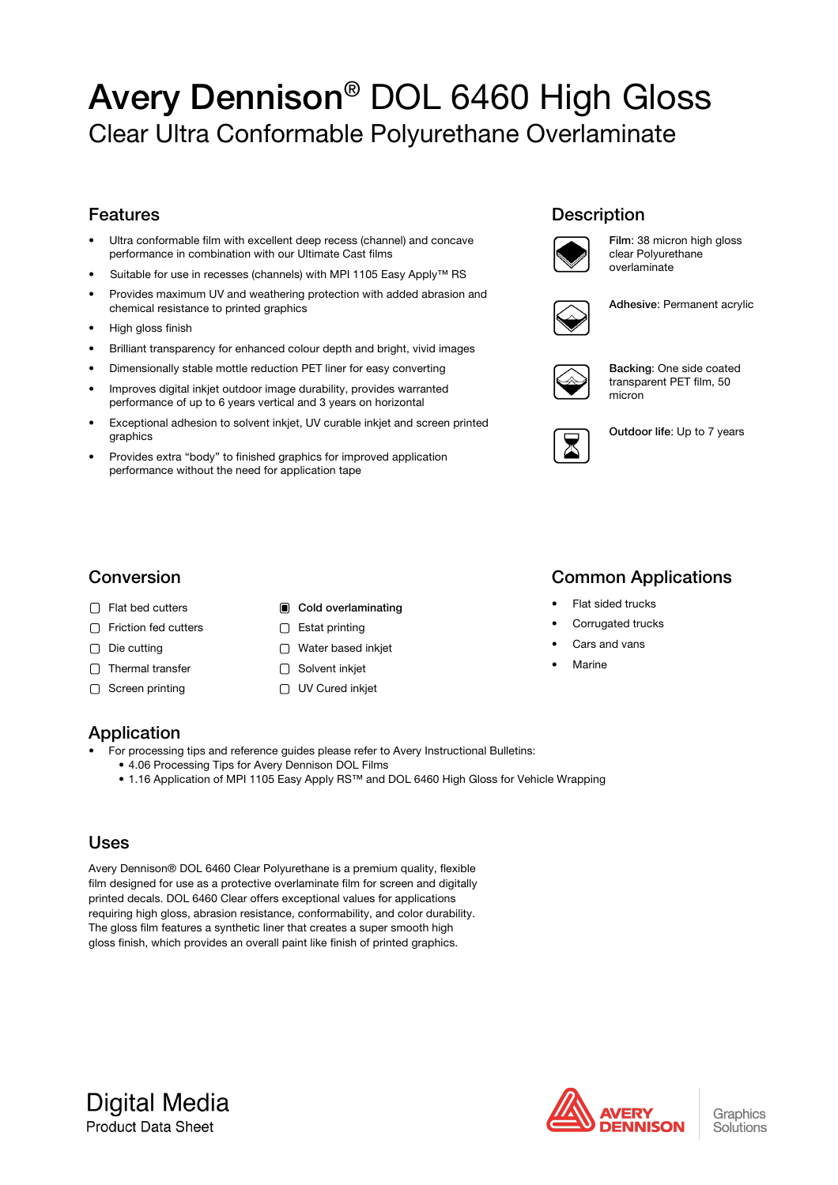# Avery Dennison® DOL 6460 High Gloss Clear Ultra Conformable Polyurethane Overlaminate

### Features

- Ultra conformable film with excellent deep recess (channel) and concave performance in combination with our Ultimate Cast films
- Suitable for use in recesses (channels) with MPI 1105 Easy Apply™ RS
- Provides maximum UV and weathering protection with added abrasion and chemical resistance to printed graphics
- High gloss finish
- Brilliant transparency for enhanced colour depth and bright, vivid images
- Dimensionally stable mottle reduction PET liner for easy converting
- Improves digital inkjet outdoor image durability, provides warranted performance of up to 6 years vertical and 3 years on horizontal
- Exceptional adhesion to solvent inkjet, UV curable inkjet and screen printed graphics
- Provides extra "body" to finished graphics for improved application performance without the need for application tape

### **Description**



Film: 38 micron high gloss clear Polyurethane overlaminate

Adhesive: Permanent acrylic



Backing: One side coated transparent PET film, 50 micron



Outdoor life: Up to 7 years

### Conversion

- 
- Friction fed cutters **Estat printing**
- 
- $\Box$  Thermal transfer  $\Box$  Solvent inkiet
- 

### □ Flat bed cutters **Cold overlaminating**

- 
- Die cutting and Die Water based inkjet
	-
- □ Screen printing Internal Contract OUV Cured inkiet

## Common Applications

- Flat sided trucks
- Corrugated trucks
- Cars and vans
- Marine

### Application

- For processing tips and reference guides please refer to Avery Instructional Bulletins:
	- 4.06 Processing Tips for Avery Dennison DOL Films
	- 1.16 Application of MPI 1105 Easy Apply RS™ and DOL 6460 High Gloss for Vehicle Wrapping

### Uses

Avery Dennison® DOL 6460 Clear Polyurethane is a premium quality, flexible film designed for use as a protective overlaminate film for screen and digitally printed decals. DOL 6460 Clear offers exceptional values for applications requiring high gloss, abrasion resistance, conformability, and color durability. The gloss film features a synthetic liner that creates a super smooth high gloss finish, which provides an overall paint like finish of printed graphics.